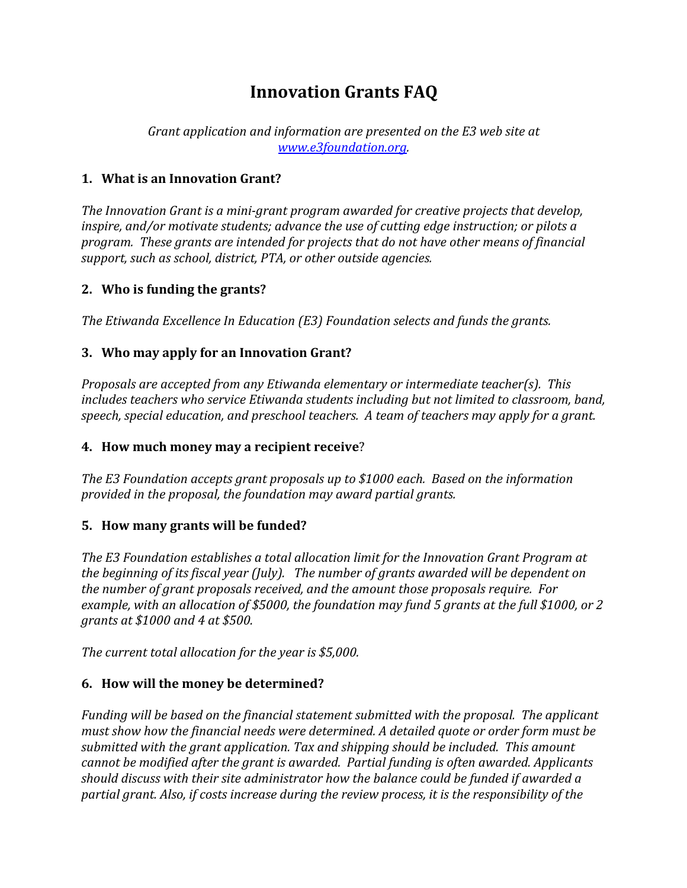# **Innovation Grants FAQ**

*Grant application and information are presented on the E3 web site at www.e3foundation.org.*

### **1. What is an Innovation Grant?**

*The Innovation Grant is a mini-grant program awarded for creative projects that develop, inspire,* and/or motivate students; advance the use of cutting edge instruction; or pilots a *program.* These grants are intended for projects that do not have other means of financial support, such as school, district, PTA, or other outside agencies.

## **2.** Who is funding the grants?

*The Etiwanda Excellence In Education (E3) Foundation selects and funds the grants.* 

## **3.** Who may apply for an Innovation Grant?

*Proposals are accepted from any Etiwanda elementary or intermediate teacher(s). This includes teachers who service Etiwanda students including but not limited to classroom, band,* speech, special education, and preschool teachers. A team of teachers may apply for a grant.

### **4.** How much money may a recipient receive?

The E3 Foundation accepts grant proposals up to \$1000 each. Based on the information *provided* in the proposal, the foundation may award partial grants.

# **5.** How many grants will be funded?

The E3 Foundation establishes a total allocation limit for the Innovation Grant Program at *the beginning of its fiscal year (July). The number of grants awarded will be dependent on the number of grant proposals received, and the amount those proposals require. For* example, with an allocation of \$5000, the foundation may fund 5 grants at the full \$1000, or 2 *grants at \$1000 and 4 at \$500.*

*The current total allocation for the year is* \$5,000.

# **6.** How will the money be determined?

*Funding* will be based on the financial statement submitted with the proposal. The applicant *must show how the financial needs were determined. A detailed quote or order form must be* submitted with the grant application. Tax and shipping should be included. This amount *cannot be modified after the grant is awarded. Partial funding is often awarded. Applicants* should discuss with their site administrator how the balance could be funded if awarded a partial grant. Also, if costs increase during the review process, it is the responsibility of the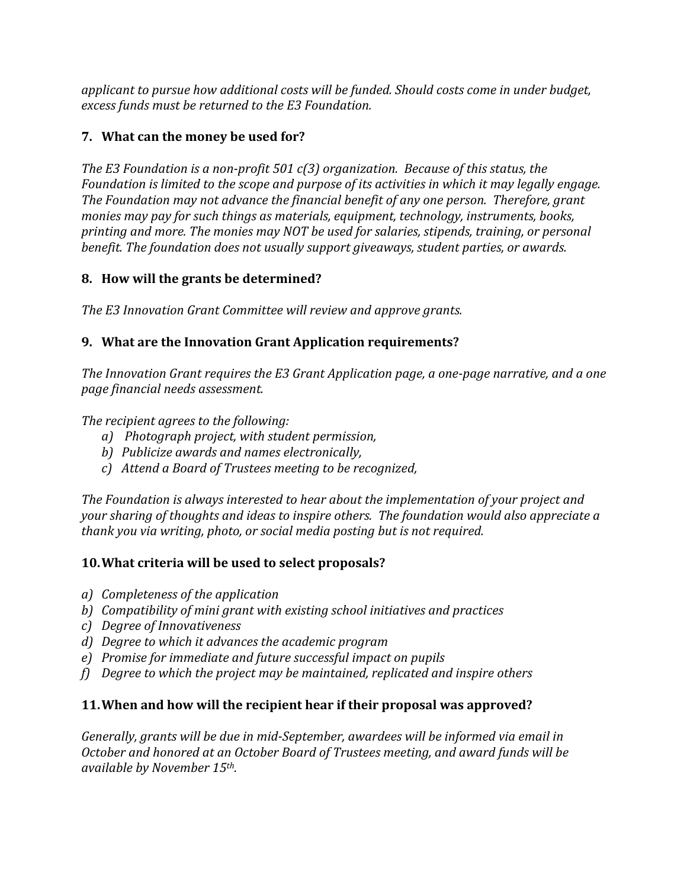applicant to pursue how additional costs will be funded. Should costs come in under budget, excess funds must be returned to the E3 Foundation.

# **7.** What can the money be used for?

*The E3* Foundation is a non-profit 501 c(3) organization. Because of this status, the *Foundation is limited to the scope and purpose of its activities in which it may legally engage.* The Foundation may not advance the financial benefit of any one person. Therefore, grant *monies may pay for such things as materials, equipment, technology, instruments, books,* printing and more. The monies may NOT be used for salaries, stipends, training, or personal *benefit. The foundation does not usually support giveaways, student parties, or awards.* 

## **8.** How will the grants be determined?

*The* E3 Innovation Grant Committee will review and approve grants.

# **9.** What are the Innovation Grant Application requirements?

*The Innovation Grant requires the E3 Grant Application page, a one-page narrative, and a one page financial needs assessment.*

*The recipient agrees to the following:* 

- *a*) Photograph project, with student permission,
- *b*) Publicize awards and names electronically,
- *c) Attend a Board of Trustees meeting to be recognized,*

The Foundation is always interested to hear about the implementation of your project and *your sharing of thoughts and ideas to inspire others. The foundation would also appreciate a thank you via writing, photo, or social media posting but is not required.* 

# **10. What criteria will be used to select proposals?**

- *a*) *Completeness of the application*
- *b) Compatibility of mini grant with existing school initiatives and practices*
- *c) Degree of Innovativeness*
- *d*) Degree to which it advances the academic program
- *e*) Promise for immediate and future successful impact on pupils
- *f*) Degree to which the project may be maintained, replicated and inspire others

# **11. When and how will the recipient hear if their proposal was approved?**

*Generally, grants will be due in mid-September, awardees will be informed via email in October and honored at an October Board of Trustees meeting, and award funds will be available by November 15th.*